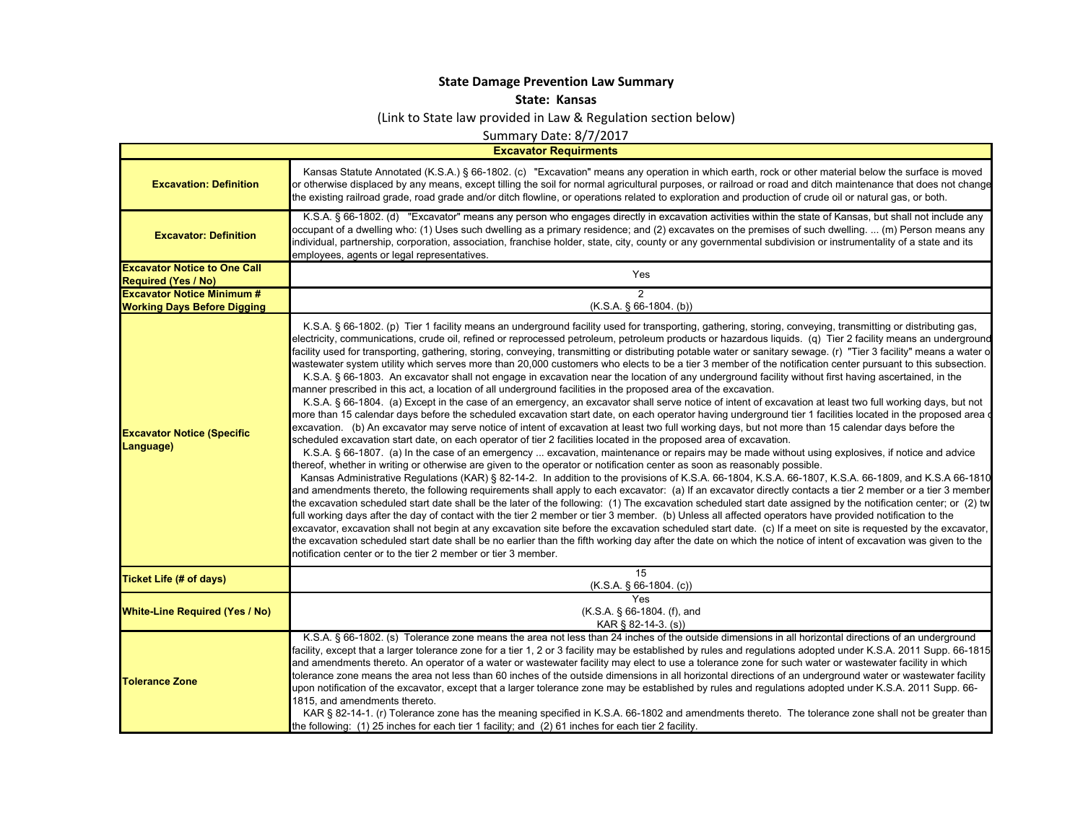## **State Damage Prevention Law Summary**

**State: Kansas**

(Link to State law provided in Law & Regulation section below)

Summary Date: 8/7/2017

**Excavator Requirments**

| <b>Excavation: Definition</b>                                     | Kansas Statute Annotated (K.S.A.) § 66-1802. (c) "Excavation" means any operation in which earth, rock or other material below the surface is moved<br>or otherwise displaced by any means, except tilling the soil for normal agricultural purposes, or railroad or road and ditch maintenance that does not change<br>the existing railroad grade, road grade and/or ditch flowline, or operations related to exploration and production of crude oil or natural gas, or both.                                                                                                                                                                                                                                                                                                                                                                                                                                                                                                                                                                                                                                                                                                                                                                                                                                                                                                                                                                                                                                                                                                                                                                                                                                                                                                                                                                                                                                                                                                                                                                                                                                                                                                                                                                                                                                                                                                                                                                                                                                                                                                                                                                                                                                                                                                                                                                                                              |
|-------------------------------------------------------------------|-----------------------------------------------------------------------------------------------------------------------------------------------------------------------------------------------------------------------------------------------------------------------------------------------------------------------------------------------------------------------------------------------------------------------------------------------------------------------------------------------------------------------------------------------------------------------------------------------------------------------------------------------------------------------------------------------------------------------------------------------------------------------------------------------------------------------------------------------------------------------------------------------------------------------------------------------------------------------------------------------------------------------------------------------------------------------------------------------------------------------------------------------------------------------------------------------------------------------------------------------------------------------------------------------------------------------------------------------------------------------------------------------------------------------------------------------------------------------------------------------------------------------------------------------------------------------------------------------------------------------------------------------------------------------------------------------------------------------------------------------------------------------------------------------------------------------------------------------------------------------------------------------------------------------------------------------------------------------------------------------------------------------------------------------------------------------------------------------------------------------------------------------------------------------------------------------------------------------------------------------------------------------------------------------------------------------------------------------------------------------------------------------------------------------------------------------------------------------------------------------------------------------------------------------------------------------------------------------------------------------------------------------------------------------------------------------------------------------------------------------------------------------------------------------------------------------------------------------------------------------------------------------|
| <b>Excavator: Definition</b>                                      | K.S.A. § 66-1802. (d) "Excavator" means any person who engages directly in excavation activities within the state of Kansas, but shall not include any<br>occupant of a dwelling who: (1) Uses such dwelling as a primary residence; and (2) excavates on the premises of such dwelling.  (m) Person means any<br>individual, partnership, corporation, association, franchise holder, state, city, county or any governmental subdivision or instrumentality of a state and its<br>employees, agents or legal representatives.                                                                                                                                                                                                                                                                                                                                                                                                                                                                                                                                                                                                                                                                                                                                                                                                                                                                                                                                                                                                                                                                                                                                                                                                                                                                                                                                                                                                                                                                                                                                                                                                                                                                                                                                                                                                                                                                                                                                                                                                                                                                                                                                                                                                                                                                                                                                                               |
| <b>Excavator Notice to One Call</b><br><b>Required (Yes / No)</b> | Yes                                                                                                                                                                                                                                                                                                                                                                                                                                                                                                                                                                                                                                                                                                                                                                                                                                                                                                                                                                                                                                                                                                                                                                                                                                                                                                                                                                                                                                                                                                                                                                                                                                                                                                                                                                                                                                                                                                                                                                                                                                                                                                                                                                                                                                                                                                                                                                                                                                                                                                                                                                                                                                                                                                                                                                                                                                                                                           |
| <b>Excavator Notice Minimum #</b>                                 | $\mathfrak{p}$                                                                                                                                                                                                                                                                                                                                                                                                                                                                                                                                                                                                                                                                                                                                                                                                                                                                                                                                                                                                                                                                                                                                                                                                                                                                                                                                                                                                                                                                                                                                                                                                                                                                                                                                                                                                                                                                                                                                                                                                                                                                                                                                                                                                                                                                                                                                                                                                                                                                                                                                                                                                                                                                                                                                                                                                                                                                                |
| <b>Working Days Before Digging</b>                                | $(K.S.A. § 66-1804. (b))$                                                                                                                                                                                                                                                                                                                                                                                                                                                                                                                                                                                                                                                                                                                                                                                                                                                                                                                                                                                                                                                                                                                                                                                                                                                                                                                                                                                                                                                                                                                                                                                                                                                                                                                                                                                                                                                                                                                                                                                                                                                                                                                                                                                                                                                                                                                                                                                                                                                                                                                                                                                                                                                                                                                                                                                                                                                                     |
| <b>Excavator Notice (Specific</b><br>Language)                    | K.S.A. § 66-1802. (p) Tier 1 facility means an underground facility used for transporting, gathering, storing, conveying, transmitting or distributing gas,<br>electricity, communications, crude oil, refined or reprocessed petroleum, petroleum products or hazardous liquids. (q) Tier 2 facility means an underground<br>facility used for transporting, gathering, storing, conveying, transmitting or distributing potable water or sanitary sewage. (r) "Tier 3 facility" means a water o<br>wastewater system utility which serves more than 20,000 customers who elects to be a tier 3 member of the notification center pursuant to this subsection.<br>K.S.A. § 66-1803. An excavator shall not engage in excavation near the location of any underground facility without first having ascertained, in the<br>manner prescribed in this act, a location of all underground facilities in the proposed area of the excavation.<br>K.S.A. § 66-1804. (a) Except in the case of an emergency, an excavator shall serve notice of intent of excavation at least two full working days, but not<br>more than 15 calendar days before the scheduled excavation start date, on each operator having underground tier 1 facilities located in the proposed area o<br>excavation. (b) An excavator may serve notice of intent of excavation at least two full working days, but not more than 15 calendar days before the<br>scheduled excavation start date, on each operator of tier 2 facilities located in the proposed area of excavation.<br>K.S.A. § 66-1807. (a) In the case of an emergency  excavation, maintenance or repairs may be made without using explosives, if notice and advice<br>thereof, whether in writing or otherwise are given to the operator or notification center as soon as reasonably possible.<br>Kansas Administrative Regulations (KAR) § 82-14-2. In addition to the provisions of K.S.A. 66-1804, K.S.A. 66-1807, K.S.A. 66-1809, and K.S.A 66-1810<br>and amendments thereto, the following requirements shall apply to each excavator: (a) If an excavator directly contacts a tier 2 member or a tier 3 member<br>the excavation scheduled start date shall be the later of the following: (1) The excavation scheduled start date assigned by the notification center; or (2) tw<br>full working days after the day of contact with the tier 2 member or tier 3 member. (b) Unless all affected operators have provided notification to the<br>excavator, excavation shall not begin at any excavation site before the excavation scheduled start date. (c) If a meet on site is requested by the excavator,<br>the excavation scheduled start date shall be no earlier than the fifth working day after the date on which the notice of intent of excavation was given to the<br>notification center or to the tier 2 member or tier 3 member. |
| Ticket Life (# of days)                                           | 15<br>$(K.S.A. § 66-1804. (c))$                                                                                                                                                                                                                                                                                                                                                                                                                                                                                                                                                                                                                                                                                                                                                                                                                                                                                                                                                                                                                                                                                                                                                                                                                                                                                                                                                                                                                                                                                                                                                                                                                                                                                                                                                                                                                                                                                                                                                                                                                                                                                                                                                                                                                                                                                                                                                                                                                                                                                                                                                                                                                                                                                                                                                                                                                                                               |
| <b>White-Line Required (Yes / No)</b>                             | Yes<br>(K.S.A. § 66-1804. (f), and<br>KAR § 82-14-3. (s))                                                                                                                                                                                                                                                                                                                                                                                                                                                                                                                                                                                                                                                                                                                                                                                                                                                                                                                                                                                                                                                                                                                                                                                                                                                                                                                                                                                                                                                                                                                                                                                                                                                                                                                                                                                                                                                                                                                                                                                                                                                                                                                                                                                                                                                                                                                                                                                                                                                                                                                                                                                                                                                                                                                                                                                                                                     |
| <b>Tolerance Zone</b>                                             | K.S.A. § 66-1802. (s) Tolerance zone means the area not less than 24 inches of the outside dimensions in all horizontal directions of an underground<br>facility, except that a larger tolerance zone for a tier 1, 2 or 3 facility may be established by rules and regulations adopted under K.S.A. 2011 Supp. 66-1815<br>and amendments thereto. An operator of a water or wastewater facility may elect to use a tolerance zone for such water or wastewater facility in which<br>tolerance zone means the area not less than 60 inches of the outside dimensions in all horizontal directions of an underground water or wastewater facility<br>upon notification of the excavator, except that a larger tolerance zone may be established by rules and regulations adopted under K.S.A. 2011 Supp. 66-<br>1815, and amendments thereto.<br>KAR § 82-14-1. (r) Tolerance zone has the meaning specified in K.S.A. 66-1802 and amendments thereto. The tolerance zone shall not be greater than<br>the following: (1) 25 inches for each tier 1 facility; and (2) 61 inches for each tier 2 facility.                                                                                                                                                                                                                                                                                                                                                                                                                                                                                                                                                                                                                                                                                                                                                                                                                                                                                                                                                                                                                                                                                                                                                                                                                                                                                                                                                                                                                                                                                                                                                                                                                                                                                                                                                                                      |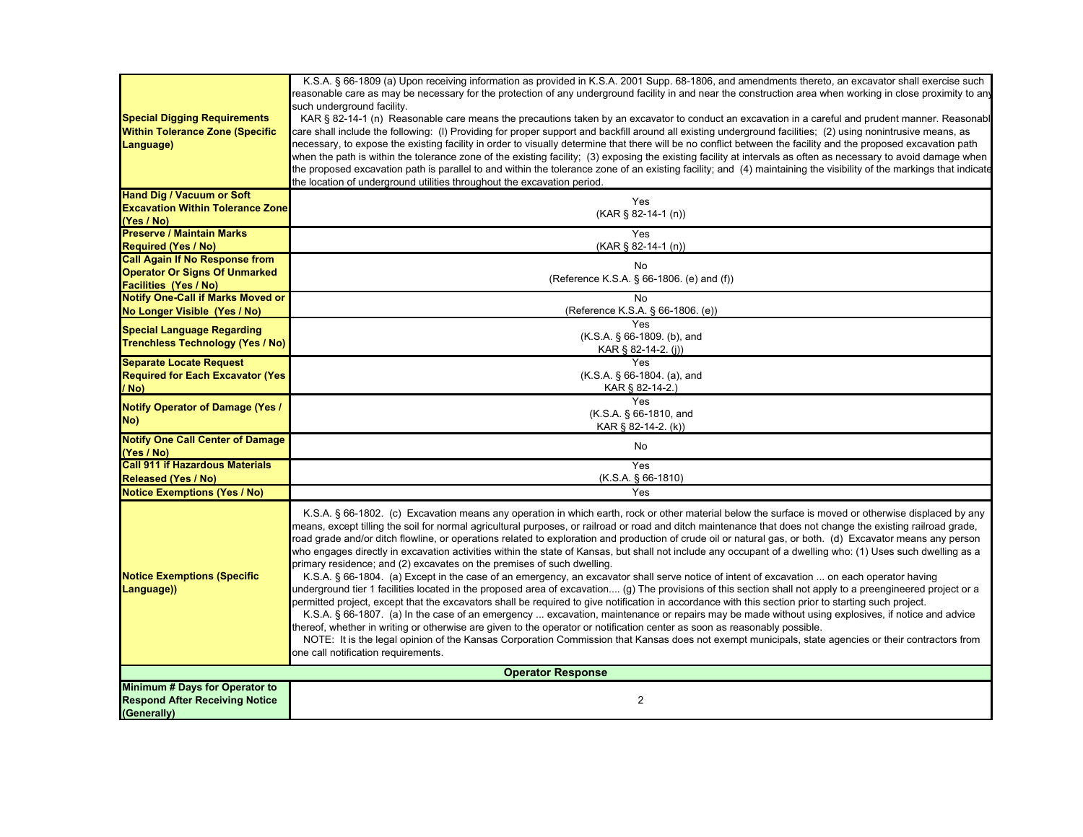| <b>Special Digging Requirements</b><br><b>Within Tolerance Zone (Specific</b><br>Language)                    | K.S.A. § 66-1809 (a) Upon receiving information as provided in K.S.A. 2001 Supp. 68-1806, and amendments thereto, an excavator shall exercise such<br>reasonable care as may be necessary for the protection of any underground facility in and near the construction area when working in close proximity to any<br>such underground facility.<br>KAR § 82-14-1 (n) Reasonable care means the precautions taken by an excavator to conduct an excavation in a careful and prudent manner. Reasonabl<br>care shall include the following: (I) Providing for proper support and backfill around all existing underground facilities; (2) using nonintrusive means, as<br>necessary, to expose the existing facility in order to visually determine that there will be no conflict between the facility and the proposed excavation path<br>when the path is within the tolerance zone of the existing facility; (3) exposing the existing facility at intervals as often as necessary to avoid damage when<br>the proposed excavation path is parallel to and within the tolerance zone of an existing facility; and (4) maintaining the visibility of the markings that indicate<br>the location of underground utilities throughout the excavation period.                                                                                                                                                                                                                                                                                                                                                                                                                     |  |
|---------------------------------------------------------------------------------------------------------------|---------------------------------------------------------------------------------------------------------------------------------------------------------------------------------------------------------------------------------------------------------------------------------------------------------------------------------------------------------------------------------------------------------------------------------------------------------------------------------------------------------------------------------------------------------------------------------------------------------------------------------------------------------------------------------------------------------------------------------------------------------------------------------------------------------------------------------------------------------------------------------------------------------------------------------------------------------------------------------------------------------------------------------------------------------------------------------------------------------------------------------------------------------------------------------------------------------------------------------------------------------------------------------------------------------------------------------------------------------------------------------------------------------------------------------------------------------------------------------------------------------------------------------------------------------------------------------------------------------------------------------------------------------------------------------|--|
| <b>Hand Dig / Vacuum or Soft</b><br><b>Excavation Within Tolerance Zone</b><br>(Yes / No)                     | Yes<br>(KAR § 82-14-1 (n))                                                                                                                                                                                                                                                                                                                                                                                                                                                                                                                                                                                                                                                                                                                                                                                                                                                                                                                                                                                                                                                                                                                                                                                                                                                                                                                                                                                                                                                                                                                                                                                                                                                      |  |
| <b>Preserve / Maintain Marks</b><br>Required (Yes / No)                                                       | Yes<br>$(KAR \S 82-14-1 (n))$                                                                                                                                                                                                                                                                                                                                                                                                                                                                                                                                                                                                                                                                                                                                                                                                                                                                                                                                                                                                                                                                                                                                                                                                                                                                                                                                                                                                                                                                                                                                                                                                                                                   |  |
| <b>Call Again If No Response from</b><br><b>Operator Or Signs Of Unmarked</b><br><b>Facilities (Yes / No)</b> | No<br>(Reference K.S.A. § 66-1806. (e) and (f))                                                                                                                                                                                                                                                                                                                                                                                                                                                                                                                                                                                                                                                                                                                                                                                                                                                                                                                                                                                                                                                                                                                                                                                                                                                                                                                                                                                                                                                                                                                                                                                                                                 |  |
| <b>Notify One-Call if Marks Moved or</b><br>No Longer Visible (Yes / No)                                      | No<br>(Reference K.S.A. § 66-1806. (e))                                                                                                                                                                                                                                                                                                                                                                                                                                                                                                                                                                                                                                                                                                                                                                                                                                                                                                                                                                                                                                                                                                                                                                                                                                                                                                                                                                                                                                                                                                                                                                                                                                         |  |
| <b>Special Language Regarding</b><br><b>Trenchless Technology (Yes / No)</b>                                  | Yes<br>(K.S.A. § 66-1809. (b), and<br>KAR § 82-14-2. (j))                                                                                                                                                                                                                                                                                                                                                                                                                                                                                                                                                                                                                                                                                                                                                                                                                                                                                                                                                                                                                                                                                                                                                                                                                                                                                                                                                                                                                                                                                                                                                                                                                       |  |
| <b>Separate Locate Request</b><br><b>Required for Each Excavator (Yes)</b><br>/ No)                           | Yes<br>(K.S.A. § 66-1804. (a), and<br>KAR § 82-14-2.)                                                                                                                                                                                                                                                                                                                                                                                                                                                                                                                                                                                                                                                                                                                                                                                                                                                                                                                                                                                                                                                                                                                                                                                                                                                                                                                                                                                                                                                                                                                                                                                                                           |  |
| <b>Notify Operator of Damage (Yes /</b><br>No)                                                                | Yes<br>(K.S.A. § 66-1810, and<br>KAR $\S$ 82-14-2. (k))                                                                                                                                                                                                                                                                                                                                                                                                                                                                                                                                                                                                                                                                                                                                                                                                                                                                                                                                                                                                                                                                                                                                                                                                                                                                                                                                                                                                                                                                                                                                                                                                                         |  |
| <b>Notify One Call Center of Damage</b><br>(Yes / No)                                                         | No                                                                                                                                                                                                                                                                                                                                                                                                                                                                                                                                                                                                                                                                                                                                                                                                                                                                                                                                                                                                                                                                                                                                                                                                                                                                                                                                                                                                                                                                                                                                                                                                                                                                              |  |
| <b>Call 911 if Hazardous Materials</b><br><b>Released (Yes / No)</b>                                          | Yes<br>$(K.S.A. § 66-1810)$                                                                                                                                                                                                                                                                                                                                                                                                                                                                                                                                                                                                                                                                                                                                                                                                                                                                                                                                                                                                                                                                                                                                                                                                                                                                                                                                                                                                                                                                                                                                                                                                                                                     |  |
| <b>Notice Exemptions (Yes / No)</b>                                                                           | Yes                                                                                                                                                                                                                                                                                                                                                                                                                                                                                                                                                                                                                                                                                                                                                                                                                                                                                                                                                                                                                                                                                                                                                                                                                                                                                                                                                                                                                                                                                                                                                                                                                                                                             |  |
| <b>Notice Exemptions (Specific</b><br>Language))                                                              | K.S.A. § 66-1802. (c) Excavation means any operation in which earth, rock or other material below the surface is moved or otherwise displaced by any<br>means, except tilling the soil for normal agricultural purposes, or railroad or road and ditch maintenance that does not change the existing railroad grade,<br>road grade and/or ditch flowline, or operations related to exploration and production of crude oil or natural gas, or both. (d) Excavator means any person<br>who engages directly in excavation activities within the state of Kansas, but shall not include any occupant of a dwelling who: (1) Uses such dwelling as a<br>primary residence; and (2) excavates on the premises of such dwelling.<br>K.S.A. § 66-1804. (a) Except in the case of an emergency, an excavator shall serve notice of intent of excavation  on each operator having<br>underground tier 1 facilities located in the proposed area of excavation (g) The provisions of this section shall not apply to a preengineered project or a<br>permitted project, except that the excavators shall be required to give notification in accordance with this section prior to starting such project.<br>K.S.A. § 66-1807. (a) In the case of an emergency  excavation, maintenance or repairs may be made without using explosives, if notice and advice<br>thereof, whether in writing or otherwise are given to the operator or notification center as soon as reasonably possible.<br>NOTE: It is the legal opinion of the Kansas Corporation Commission that Kansas does not exempt municipals, state agencies or their contractors from<br>one call notification requirements. |  |
| <b>Operator Response</b>                                                                                      |                                                                                                                                                                                                                                                                                                                                                                                                                                                                                                                                                                                                                                                                                                                                                                                                                                                                                                                                                                                                                                                                                                                                                                                                                                                                                                                                                                                                                                                                                                                                                                                                                                                                                 |  |
| Minimum # Days for Operator to<br><b>Respond After Receiving Notice</b><br>(Generally)                        | 2                                                                                                                                                                                                                                                                                                                                                                                                                                                                                                                                                                                                                                                                                                                                                                                                                                                                                                                                                                                                                                                                                                                                                                                                                                                                                                                                                                                                                                                                                                                                                                                                                                                                               |  |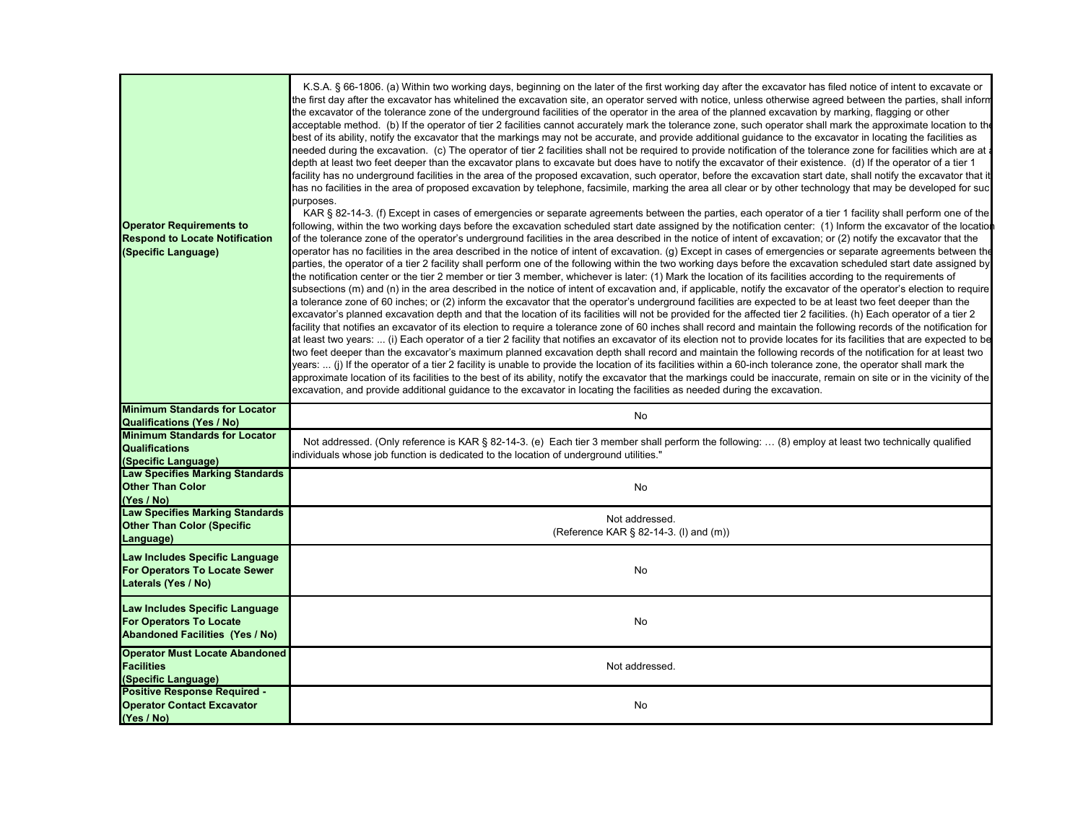| <b>Operator Requirements to</b><br><b>Respond to Locate Notification</b><br>(Specific Language)            | K.S.A. § 66-1806. (a) Within two working days, beginning on the later of the first working day after the excavator has filed notice of intent to excavate or<br>the first day after the excavator has whitelined the excavation site, an operator served with notice, unless otherwise agreed between the parties, shall inform<br>the excavator of the tolerance zone of the underground facilities of the operator in the area of the planned excavation by marking, flagging or other<br>acceptable method. (b) If the operator of tier 2 facilities cannot accurately mark the tolerance zone, such operator shall mark the approximate location to th<br>best of its ability, notify the excavator that the markings may not be accurate, and provide additional guidance to the excavator in locating the facilities as<br>needed during the excavation. (c) The operator of tier 2 facilities shall not be required to provide notification of the tolerance zone for facilities which are at<br>depth at least two feet deeper than the excavator plans to excavate but does have to notify the excavator of their existence. (d) If the operator of a tier 1<br>acility has no underground facilities in the area of the proposed excavation, such operator, before the excavation start date, shall notify the excavator that it<br>nas no facilities in the area of proposed excavation by telephone, facsimile, marking the area all clear or by other technology that may be developed for suc<br>purposes.<br>KAR § 82-14-3. (f) Except in cases of emergencies or separate agreements between the parties, each operator of a tier 1 facility shall perform one of the<br>following, within the two working days before the excavation scheduled start date assigned by the notification center: (1) Inform the excavator of the locatio<br>of the tolerance zone of the operator's underground facilities in the area described in the notice of intent of excavation; or (2) notify the excavator that the<br>operator has no facilities in the area described in the notice of intent of excavation. (g) Except in cases of emergencies or separate agreements between the<br>parties, the operator of a tier 2 facility shall perform one of the following within the two working days before the excavation scheduled start date assigned by<br>the notification center or the tier 2 member or tier 3 member, whichever is later: (1) Mark the location of its facilities according to the requirements of<br>subsections (m) and (n) in the area described in the notice of intent of excavation and, if applicable, notify the excavator of the operator's election to require<br>a tolerance zone of 60 inches; or (2) inform the excavator that the operator's underground facilities are expected to be at least two feet deeper than the<br>excavator's planned excavation depth and that the location of its facilities will not be provided for the affected tier 2 facilities. (h) Each operator of a tier 2<br>acility that notifies an excavator of its election to require a tolerance zone of 60 inches shall record and maintain the following records of the notification for<br>at least two years:  (i) Each operator of a tier 2 facility that notifies an excavator of its election not to provide locates for its facilities that are expected to be<br>two feet deeper than the excavator's maximum planned excavation depth shall record and maintain the following records of the notification for at least two<br>years:  (j) If the operator of a tier 2 facility is unable to provide the location of its facilities within a 60-inch tolerance zone, the operator shall mark the<br>approximate location of its facilities to the best of its ability, notify the excavator that the markings could be inaccurate, remain on site or in the vicinity of the<br>excavation, and provide additional guidance to the excavator in locating the facilities as needed during the excavation. |
|------------------------------------------------------------------------------------------------------------|-----------------------------------------------------------------------------------------------------------------------------------------------------------------------------------------------------------------------------------------------------------------------------------------------------------------------------------------------------------------------------------------------------------------------------------------------------------------------------------------------------------------------------------------------------------------------------------------------------------------------------------------------------------------------------------------------------------------------------------------------------------------------------------------------------------------------------------------------------------------------------------------------------------------------------------------------------------------------------------------------------------------------------------------------------------------------------------------------------------------------------------------------------------------------------------------------------------------------------------------------------------------------------------------------------------------------------------------------------------------------------------------------------------------------------------------------------------------------------------------------------------------------------------------------------------------------------------------------------------------------------------------------------------------------------------------------------------------------------------------------------------------------------------------------------------------------------------------------------------------------------------------------------------------------------------------------------------------------------------------------------------------------------------------------------------------------------------------------------------------------------------------------------------------------------------------------------------------------------------------------------------------------------------------------------------------------------------------------------------------------------------------------------------------------------------------------------------------------------------------------------------------------------------------------------------------------------------------------------------------------------------------------------------------------------------------------------------------------------------------------------------------------------------------------------------------------------------------------------------------------------------------------------------------------------------------------------------------------------------------------------------------------------------------------------------------------------------------------------------------------------------------------------------------------------------------------------------------------------------------------------------------------------------------------------------------------------------------------------------------------------------------------------------------------------------------------------------------------------------------------------------------------------------------------------------------------------------------------------------------------------------------------------------------------------------------------------------------------------------------------------------------------------------------------------------------------------------------------------------------------------------------------------------------------------------------------------------------------------------------------------------------------------------------|
| <b>Minimum Standards for Locator</b><br>Qualifications (Yes / No)                                          | No                                                                                                                                                                                                                                                                                                                                                                                                                                                                                                                                                                                                                                                                                                                                                                                                                                                                                                                                                                                                                                                                                                                                                                                                                                                                                                                                                                                                                                                                                                                                                                                                                                                                                                                                                                                                                                                                                                                                                                                                                                                                                                                                                                                                                                                                                                                                                                                                                                                                                                                                                                                                                                                                                                                                                                                                                                                                                                                                                                                                                                                                                                                                                                                                                                                                                                                                                                                                                                                                                                                                                                                                                                                                                                                                                                                                                                                                                                                                                                                                                                      |
| <b>Minimum Standards for Locator</b><br><b>Qualifications</b><br>(Specific Language)                       | Not addressed. (Only reference is KAR § 82-14-3. (e) Each tier 3 member shall perform the following:  (8) employ at least two technically qualified<br>ndividuals whose job function is dedicated to the location of underground utilities."                                                                                                                                                                                                                                                                                                                                                                                                                                                                                                                                                                                                                                                                                                                                                                                                                                                                                                                                                                                                                                                                                                                                                                                                                                                                                                                                                                                                                                                                                                                                                                                                                                                                                                                                                                                                                                                                                                                                                                                                                                                                                                                                                                                                                                                                                                                                                                                                                                                                                                                                                                                                                                                                                                                                                                                                                                                                                                                                                                                                                                                                                                                                                                                                                                                                                                                                                                                                                                                                                                                                                                                                                                                                                                                                                                                            |
| <b>Law Specifies Marking Standards</b><br><b>Other Than Color</b><br>(Yes / No)                            | No                                                                                                                                                                                                                                                                                                                                                                                                                                                                                                                                                                                                                                                                                                                                                                                                                                                                                                                                                                                                                                                                                                                                                                                                                                                                                                                                                                                                                                                                                                                                                                                                                                                                                                                                                                                                                                                                                                                                                                                                                                                                                                                                                                                                                                                                                                                                                                                                                                                                                                                                                                                                                                                                                                                                                                                                                                                                                                                                                                                                                                                                                                                                                                                                                                                                                                                                                                                                                                                                                                                                                                                                                                                                                                                                                                                                                                                                                                                                                                                                                                      |
| <b>Law Specifies Marking Standards</b><br><b>Other Than Color (Specific</b><br>Language)                   | Not addressed.<br>(Reference KAR § 82-14-3. (I) and (m))                                                                                                                                                                                                                                                                                                                                                                                                                                                                                                                                                                                                                                                                                                                                                                                                                                                                                                                                                                                                                                                                                                                                                                                                                                                                                                                                                                                                                                                                                                                                                                                                                                                                                                                                                                                                                                                                                                                                                                                                                                                                                                                                                                                                                                                                                                                                                                                                                                                                                                                                                                                                                                                                                                                                                                                                                                                                                                                                                                                                                                                                                                                                                                                                                                                                                                                                                                                                                                                                                                                                                                                                                                                                                                                                                                                                                                                                                                                                                                                |
| Law Includes Specific Language<br><b>For Operators To Locate Sewer</b><br>Laterals (Yes / No)              | No                                                                                                                                                                                                                                                                                                                                                                                                                                                                                                                                                                                                                                                                                                                                                                                                                                                                                                                                                                                                                                                                                                                                                                                                                                                                                                                                                                                                                                                                                                                                                                                                                                                                                                                                                                                                                                                                                                                                                                                                                                                                                                                                                                                                                                                                                                                                                                                                                                                                                                                                                                                                                                                                                                                                                                                                                                                                                                                                                                                                                                                                                                                                                                                                                                                                                                                                                                                                                                                                                                                                                                                                                                                                                                                                                                                                                                                                                                                                                                                                                                      |
| Law Includes Specific Language<br><b>For Operators To Locate</b><br><b>Abandoned Facilities (Yes / No)</b> | No                                                                                                                                                                                                                                                                                                                                                                                                                                                                                                                                                                                                                                                                                                                                                                                                                                                                                                                                                                                                                                                                                                                                                                                                                                                                                                                                                                                                                                                                                                                                                                                                                                                                                                                                                                                                                                                                                                                                                                                                                                                                                                                                                                                                                                                                                                                                                                                                                                                                                                                                                                                                                                                                                                                                                                                                                                                                                                                                                                                                                                                                                                                                                                                                                                                                                                                                                                                                                                                                                                                                                                                                                                                                                                                                                                                                                                                                                                                                                                                                                                      |
| <b>Operator Must Locate Abandoned</b><br><b>Facilities</b><br>(Specific Language)                          | Not addressed.                                                                                                                                                                                                                                                                                                                                                                                                                                                                                                                                                                                                                                                                                                                                                                                                                                                                                                                                                                                                                                                                                                                                                                                                                                                                                                                                                                                                                                                                                                                                                                                                                                                                                                                                                                                                                                                                                                                                                                                                                                                                                                                                                                                                                                                                                                                                                                                                                                                                                                                                                                                                                                                                                                                                                                                                                                                                                                                                                                                                                                                                                                                                                                                                                                                                                                                                                                                                                                                                                                                                                                                                                                                                                                                                                                                                                                                                                                                                                                                                                          |
| <b>Positive Response Required -</b><br><b>Operator Contact Excavator</b><br>(Yes / No)                     | No                                                                                                                                                                                                                                                                                                                                                                                                                                                                                                                                                                                                                                                                                                                                                                                                                                                                                                                                                                                                                                                                                                                                                                                                                                                                                                                                                                                                                                                                                                                                                                                                                                                                                                                                                                                                                                                                                                                                                                                                                                                                                                                                                                                                                                                                                                                                                                                                                                                                                                                                                                                                                                                                                                                                                                                                                                                                                                                                                                                                                                                                                                                                                                                                                                                                                                                                                                                                                                                                                                                                                                                                                                                                                                                                                                                                                                                                                                                                                                                                                                      |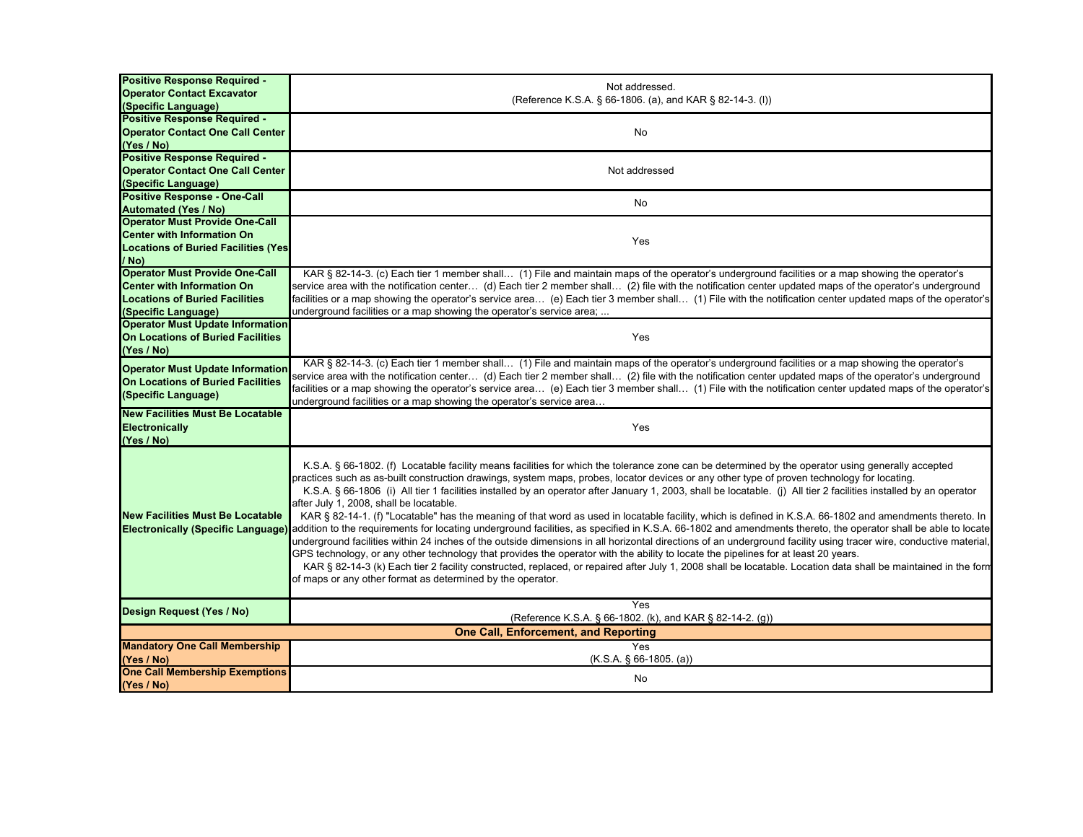| <b>Positive Response Required -</b>         |                                                                                                                                                                                                                                                                                                                                                                                                                                                                                                                                                                                                                                                                                                                                                                                                                                                                                                                                                                                                                                                                                                                                                                                                                                                                                                                                                                                                                             |
|---------------------------------------------|-----------------------------------------------------------------------------------------------------------------------------------------------------------------------------------------------------------------------------------------------------------------------------------------------------------------------------------------------------------------------------------------------------------------------------------------------------------------------------------------------------------------------------------------------------------------------------------------------------------------------------------------------------------------------------------------------------------------------------------------------------------------------------------------------------------------------------------------------------------------------------------------------------------------------------------------------------------------------------------------------------------------------------------------------------------------------------------------------------------------------------------------------------------------------------------------------------------------------------------------------------------------------------------------------------------------------------------------------------------------------------------------------------------------------------|
|                                             | Not addressed.                                                                                                                                                                                                                                                                                                                                                                                                                                                                                                                                                                                                                                                                                                                                                                                                                                                                                                                                                                                                                                                                                                                                                                                                                                                                                                                                                                                                              |
| <b>Operator Contact Excavator</b>           | (Reference K.S.A. § 66-1806. (a), and KAR § 82-14-3. (I))                                                                                                                                                                                                                                                                                                                                                                                                                                                                                                                                                                                                                                                                                                                                                                                                                                                                                                                                                                                                                                                                                                                                                                                                                                                                                                                                                                   |
| (Specific Language)                         |                                                                                                                                                                                                                                                                                                                                                                                                                                                                                                                                                                                                                                                                                                                                                                                                                                                                                                                                                                                                                                                                                                                                                                                                                                                                                                                                                                                                                             |
| <b>Positive Response Required -</b>         |                                                                                                                                                                                                                                                                                                                                                                                                                                                                                                                                                                                                                                                                                                                                                                                                                                                                                                                                                                                                                                                                                                                                                                                                                                                                                                                                                                                                                             |
| <b>Operator Contact One Call Center</b>     | No                                                                                                                                                                                                                                                                                                                                                                                                                                                                                                                                                                                                                                                                                                                                                                                                                                                                                                                                                                                                                                                                                                                                                                                                                                                                                                                                                                                                                          |
| (Yes / No)                                  |                                                                                                                                                                                                                                                                                                                                                                                                                                                                                                                                                                                                                                                                                                                                                                                                                                                                                                                                                                                                                                                                                                                                                                                                                                                                                                                                                                                                                             |
| <b>Positive Response Required -</b>         |                                                                                                                                                                                                                                                                                                                                                                                                                                                                                                                                                                                                                                                                                                                                                                                                                                                                                                                                                                                                                                                                                                                                                                                                                                                                                                                                                                                                                             |
| <b>Operator Contact One Call Center</b>     | Not addressed                                                                                                                                                                                                                                                                                                                                                                                                                                                                                                                                                                                                                                                                                                                                                                                                                                                                                                                                                                                                                                                                                                                                                                                                                                                                                                                                                                                                               |
| (Specific Language)                         |                                                                                                                                                                                                                                                                                                                                                                                                                                                                                                                                                                                                                                                                                                                                                                                                                                                                                                                                                                                                                                                                                                                                                                                                                                                                                                                                                                                                                             |
| <b>Positive Response - One-Call</b>         | No                                                                                                                                                                                                                                                                                                                                                                                                                                                                                                                                                                                                                                                                                                                                                                                                                                                                                                                                                                                                                                                                                                                                                                                                                                                                                                                                                                                                                          |
| <b>Automated (Yes / No)</b>                 |                                                                                                                                                                                                                                                                                                                                                                                                                                                                                                                                                                                                                                                                                                                                                                                                                                                                                                                                                                                                                                                                                                                                                                                                                                                                                                                                                                                                                             |
| <b>Operator Must Provide One-Call</b>       |                                                                                                                                                                                                                                                                                                                                                                                                                                                                                                                                                                                                                                                                                                                                                                                                                                                                                                                                                                                                                                                                                                                                                                                                                                                                                                                                                                                                                             |
| <b>Center with Information On</b>           |                                                                                                                                                                                                                                                                                                                                                                                                                                                                                                                                                                                                                                                                                                                                                                                                                                                                                                                                                                                                                                                                                                                                                                                                                                                                                                                                                                                                                             |
| <b>Locations of Buried Facilities (Yes)</b> | Yes                                                                                                                                                                                                                                                                                                                                                                                                                                                                                                                                                                                                                                                                                                                                                                                                                                                                                                                                                                                                                                                                                                                                                                                                                                                                                                                                                                                                                         |
| / No)                                       |                                                                                                                                                                                                                                                                                                                                                                                                                                                                                                                                                                                                                                                                                                                                                                                                                                                                                                                                                                                                                                                                                                                                                                                                                                                                                                                                                                                                                             |
| <b>Operator Must Provide One-Call</b>       | KAR § 82-14-3. (c) Each tier 1 member shall (1) File and maintain maps of the operator's underground facilities or a map showing the operator's                                                                                                                                                                                                                                                                                                                                                                                                                                                                                                                                                                                                                                                                                                                                                                                                                                                                                                                                                                                                                                                                                                                                                                                                                                                                             |
| <b>Center with Information On</b>           | service area with the notification center (d) Each tier 2 member shall (2) file with the notification center updated maps of the operator's underground                                                                                                                                                                                                                                                                                                                                                                                                                                                                                                                                                                                                                                                                                                                                                                                                                                                                                                                                                                                                                                                                                                                                                                                                                                                                     |
| <b>Locations of Buried Facilities</b>       | facilities or a map showing the operator's service area (e) Each tier 3 member shall (1) File with the notification center updated maps of the operator's                                                                                                                                                                                                                                                                                                                                                                                                                                                                                                                                                                                                                                                                                                                                                                                                                                                                                                                                                                                                                                                                                                                                                                                                                                                                   |
| (Specific Language)                         | underground facilities or a map showing the operator's service area;                                                                                                                                                                                                                                                                                                                                                                                                                                                                                                                                                                                                                                                                                                                                                                                                                                                                                                                                                                                                                                                                                                                                                                                                                                                                                                                                                        |
| <b>Operator Must Update Information</b>     |                                                                                                                                                                                                                                                                                                                                                                                                                                                                                                                                                                                                                                                                                                                                                                                                                                                                                                                                                                                                                                                                                                                                                                                                                                                                                                                                                                                                                             |
| <b>On Locations of Buried Facilities</b>    | Yes                                                                                                                                                                                                                                                                                                                                                                                                                                                                                                                                                                                                                                                                                                                                                                                                                                                                                                                                                                                                                                                                                                                                                                                                                                                                                                                                                                                                                         |
| (Yes / No)                                  |                                                                                                                                                                                                                                                                                                                                                                                                                                                                                                                                                                                                                                                                                                                                                                                                                                                                                                                                                                                                                                                                                                                                                                                                                                                                                                                                                                                                                             |
|                                             | KAR § 82-14-3. (c) Each tier 1 member shall (1) File and maintain maps of the operator's underground facilities or a map showing the operator's                                                                                                                                                                                                                                                                                                                                                                                                                                                                                                                                                                                                                                                                                                                                                                                                                                                                                                                                                                                                                                                                                                                                                                                                                                                                             |
| <b>Operator Must Update Information</b>     |                                                                                                                                                                                                                                                                                                                                                                                                                                                                                                                                                                                                                                                                                                                                                                                                                                                                                                                                                                                                                                                                                                                                                                                                                                                                                                                                                                                                                             |
| On Locations of Buried Facilities           | service area with the notification center (d) Each tier 2 member shall (2) file with the notification center updated maps of the operator's underground                                                                                                                                                                                                                                                                                                                                                                                                                                                                                                                                                                                                                                                                                                                                                                                                                                                                                                                                                                                                                                                                                                                                                                                                                                                                     |
| (Specific Language)                         | facilities or a map showing the operator's service area (e) Each tier 3 member shall (1) File with the notification center updated maps of the operator's                                                                                                                                                                                                                                                                                                                                                                                                                                                                                                                                                                                                                                                                                                                                                                                                                                                                                                                                                                                                                                                                                                                                                                                                                                                                   |
| <b>New Facilities Must Be Locatable</b>     | underground facilities or a map showing the operator's service area                                                                                                                                                                                                                                                                                                                                                                                                                                                                                                                                                                                                                                                                                                                                                                                                                                                                                                                                                                                                                                                                                                                                                                                                                                                                                                                                                         |
|                                             |                                                                                                                                                                                                                                                                                                                                                                                                                                                                                                                                                                                                                                                                                                                                                                                                                                                                                                                                                                                                                                                                                                                                                                                                                                                                                                                                                                                                                             |
| Electronically                              | Yes                                                                                                                                                                                                                                                                                                                                                                                                                                                                                                                                                                                                                                                                                                                                                                                                                                                                                                                                                                                                                                                                                                                                                                                                                                                                                                                                                                                                                         |
| (Yes / No)                                  |                                                                                                                                                                                                                                                                                                                                                                                                                                                                                                                                                                                                                                                                                                                                                                                                                                                                                                                                                                                                                                                                                                                                                                                                                                                                                                                                                                                                                             |
| <b>New Facilities Must Be Locatable</b>     | K.S.A. § 66-1802. (f) Locatable facility means facilities for which the tolerance zone can be determined by the operator using generally accepted<br>practices such as as-built construction drawings, system maps, probes, locator devices or any other type of proven technology for locating.<br>K.S.A. § 66-1806 (i) All tier 1 facilities installed by an operator after January 1, 2003, shall be locatable. (j) All tier 2 facilities installed by an operator<br>after July 1, 2008, shall be locatable.<br>KAR § 82-14-1. (f) "Locatable" has the meaning of that word as used in locatable facility, which is defined in K.S.A. 66-1802 and amendments thereto. In<br>Electronically (Specific Language) addition to the requirements for locating underground facilities, as specified in K.S.A. 66-1802 and amendments thereto, the operator shall be able to locate<br>underground facilities within 24 inches of the outside dimensions in all horizontal directions of an underground facility using tracer wire, conductive material,<br>GPS technology, or any other technology that provides the operator with the ability to locate the pipelines for at least 20 years.<br>KAR § 82-14-3 (k) Each tier 2 facility constructed, replaced, or repaired after July 1, 2008 shall be locatable. Location data shall be maintained in the form<br>of maps or any other format as determined by the operator. |
| Design Request (Yes / No)                   | Yes<br>(Reference K.S.A. § 66-1802. (k), and KAR § 82-14-2. (g))                                                                                                                                                                                                                                                                                                                                                                                                                                                                                                                                                                                                                                                                                                                                                                                                                                                                                                                                                                                                                                                                                                                                                                                                                                                                                                                                                            |
|                                             | <b>One Call, Enforcement, and Reporting</b>                                                                                                                                                                                                                                                                                                                                                                                                                                                                                                                                                                                                                                                                                                                                                                                                                                                                                                                                                                                                                                                                                                                                                                                                                                                                                                                                                                                 |
| <b>Mandatory One Call Membership</b>        | Yes                                                                                                                                                                                                                                                                                                                                                                                                                                                                                                                                                                                                                                                                                                                                                                                                                                                                                                                                                                                                                                                                                                                                                                                                                                                                                                                                                                                                                         |
| (Yes / No)                                  | $(K.S.A. § 66-1805. (a))$                                                                                                                                                                                                                                                                                                                                                                                                                                                                                                                                                                                                                                                                                                                                                                                                                                                                                                                                                                                                                                                                                                                                                                                                                                                                                                                                                                                                   |
| <b>One Call Membership Exemptions</b>       |                                                                                                                                                                                                                                                                                                                                                                                                                                                                                                                                                                                                                                                                                                                                                                                                                                                                                                                                                                                                                                                                                                                                                                                                                                                                                                                                                                                                                             |
| (Yes / No)                                  | No                                                                                                                                                                                                                                                                                                                                                                                                                                                                                                                                                                                                                                                                                                                                                                                                                                                                                                                                                                                                                                                                                                                                                                                                                                                                                                                                                                                                                          |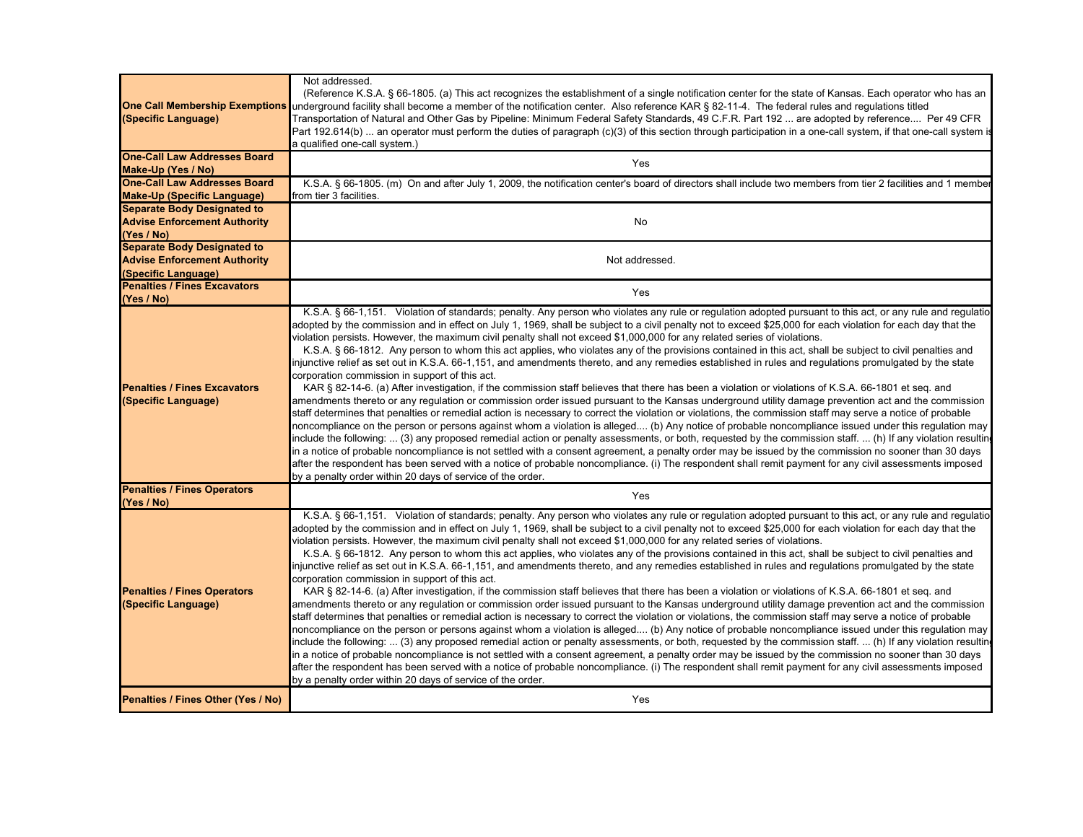| <b>One Call Membership Exemptions</b><br>(Specific Language)                                     | Not addressed.<br>(Reference K.S.A. § 66-1805. (a) This act recognizes the establishment of a single notification center for the state of Kansas. Each operator who has an<br>underground facility shall become a member of the notification center. Also reference KAR § 82-11-4. The federal rules and regulations titled<br>Transportation of Natural and Other Gas by Pipeline: Minimum Federal Safety Standards, 49 C.F.R. Part 192  are adopted by reference Per 49 CFR<br>Part 192.614(b)  an operator must perform the duties of paragraph (c)(3) of this section through participation in a one-call system, if that one-call system is<br>a qualified one-call system.)                                                                                                                                                                                                                                                                                                                                                                                                                                                                                                                                                                                                                                                                                                                                                                                                                                                                                                                                                                                                                                                                                                                                                                                                                                                                                                                                       |
|--------------------------------------------------------------------------------------------------|-------------------------------------------------------------------------------------------------------------------------------------------------------------------------------------------------------------------------------------------------------------------------------------------------------------------------------------------------------------------------------------------------------------------------------------------------------------------------------------------------------------------------------------------------------------------------------------------------------------------------------------------------------------------------------------------------------------------------------------------------------------------------------------------------------------------------------------------------------------------------------------------------------------------------------------------------------------------------------------------------------------------------------------------------------------------------------------------------------------------------------------------------------------------------------------------------------------------------------------------------------------------------------------------------------------------------------------------------------------------------------------------------------------------------------------------------------------------------------------------------------------------------------------------------------------------------------------------------------------------------------------------------------------------------------------------------------------------------------------------------------------------------------------------------------------------------------------------------------------------------------------------------------------------------------------------------------------------------------------------------------------------------|
| <b>One-Call Law Addresses Board</b><br>Make-Up (Yes / No)                                        | Yes                                                                                                                                                                                                                                                                                                                                                                                                                                                                                                                                                                                                                                                                                                                                                                                                                                                                                                                                                                                                                                                                                                                                                                                                                                                                                                                                                                                                                                                                                                                                                                                                                                                                                                                                                                                                                                                                                                                                                                                                                     |
| <b>One-Call Law Addresses Board</b>                                                              | K.S.A. § 66-1805. (m) On and after July 1, 2009, the notification center's board of directors shall include two members from tier 2 facilities and 1 member                                                                                                                                                                                                                                                                                                                                                                                                                                                                                                                                                                                                                                                                                                                                                                                                                                                                                                                                                                                                                                                                                                                                                                                                                                                                                                                                                                                                                                                                                                                                                                                                                                                                                                                                                                                                                                                             |
| <b>Make-Up (Specific Language)</b>                                                               | from tier 3 facilities.                                                                                                                                                                                                                                                                                                                                                                                                                                                                                                                                                                                                                                                                                                                                                                                                                                                                                                                                                                                                                                                                                                                                                                                                                                                                                                                                                                                                                                                                                                                                                                                                                                                                                                                                                                                                                                                                                                                                                                                                 |
| <b>Separate Body Designated to</b>                                                               |                                                                                                                                                                                                                                                                                                                                                                                                                                                                                                                                                                                                                                                                                                                                                                                                                                                                                                                                                                                                                                                                                                                                                                                                                                                                                                                                                                                                                                                                                                                                                                                                                                                                                                                                                                                                                                                                                                                                                                                                                         |
| <b>Advise Enforcement Authority</b><br>(Yes / No)                                                | No                                                                                                                                                                                                                                                                                                                                                                                                                                                                                                                                                                                                                                                                                                                                                                                                                                                                                                                                                                                                                                                                                                                                                                                                                                                                                                                                                                                                                                                                                                                                                                                                                                                                                                                                                                                                                                                                                                                                                                                                                      |
| <b>Separate Body Designated to</b><br><b>Advise Enforcement Authority</b><br>(Specific Language) | Not addressed.                                                                                                                                                                                                                                                                                                                                                                                                                                                                                                                                                                                                                                                                                                                                                                                                                                                                                                                                                                                                                                                                                                                                                                                                                                                                                                                                                                                                                                                                                                                                                                                                                                                                                                                                                                                                                                                                                                                                                                                                          |
| <b>Penalties / Fines Excavators</b>                                                              |                                                                                                                                                                                                                                                                                                                                                                                                                                                                                                                                                                                                                                                                                                                                                                                                                                                                                                                                                                                                                                                                                                                                                                                                                                                                                                                                                                                                                                                                                                                                                                                                                                                                                                                                                                                                                                                                                                                                                                                                                         |
| (Yes / No)                                                                                       | Yes                                                                                                                                                                                                                                                                                                                                                                                                                                                                                                                                                                                                                                                                                                                                                                                                                                                                                                                                                                                                                                                                                                                                                                                                                                                                                                                                                                                                                                                                                                                                                                                                                                                                                                                                                                                                                                                                                                                                                                                                                     |
| <b>Penalties / Fines Excavators</b><br>(Specific Language)                                       | K.S.A. § 66-1,151. Violation of standards; penalty. Any person who violates any rule or regulation adopted pursuant to this act, or any rule and regulatio<br>adopted by the commission and in effect on July 1, 1969, shall be subject to a civil penalty not to exceed \$25,000 for each violation for each day that the<br>violation persists. However, the maximum civil penalty shall not exceed \$1,000,000 for any related series of violations.<br>K.S.A. § 66-1812. Any person to whom this act applies, who violates any of the provisions contained in this act, shall be subject to civil penalties and<br>njunctive relief as set out in K.S.A. 66-1,151, and amendments thereto, and any remedies established in rules and regulations promulgated by the state<br>corporation commission in support of this act.<br>KAR § 82-14-6. (a) After investigation, if the commission staff believes that there has been a violation or violations of K.S.A. 66-1801 et seq. and<br>amendments thereto or any regulation or commission order issued pursuant to the Kansas underground utility damage prevention act and the commission<br>staff determines that penalties or remedial action is necessary to correct the violation or violations, the commission staff may serve a notice of probable<br>noncompliance on the person or persons against whom a violation is alleged (b) Any notice of probable noncompliance issued under this regulation may<br>include the following: … (3) any proposed remedial action or penalty assessments, or both, requested by the commission staff. … (h) If any violation resultin<br>in a notice of probable noncompliance is not settled with a consent agreement, a penalty order may be issued by the commission no sooner than 30 days<br>after the respondent has been served with a notice of probable noncompliance. (i) The respondent shall remit payment for any civil assessments imposed<br>by a penalty order within 20 days of service of the order. |
| <b>Penalties / Fines Operators</b><br>(Yes / No)                                                 | Yes                                                                                                                                                                                                                                                                                                                                                                                                                                                                                                                                                                                                                                                                                                                                                                                                                                                                                                                                                                                                                                                                                                                                                                                                                                                                                                                                                                                                                                                                                                                                                                                                                                                                                                                                                                                                                                                                                                                                                                                                                     |
| <b>Penalties / Fines Operators</b><br>(Specific Language)                                        | K.S.A. § 66-1,151. Violation of standards; penalty. Any person who violates any rule or regulation adopted pursuant to this act, or any rule and regulatio<br>adopted by the commission and in effect on July 1, 1969, shall be subject to a civil penalty not to exceed \$25,000 for each violation for each day that the<br>violation persists. However, the maximum civil penalty shall not exceed \$1,000,000 for any related series of violations.<br>K.S.A. § 66-1812. Any person to whom this act applies, who violates any of the provisions contained in this act, shall be subject to civil penalties and<br>njunctive relief as set out in K.S.A. 66-1,151, and amendments thereto, and any remedies established in rules and regulations promulgated by the state<br>corporation commission in support of this act.<br>KAR § 82-14-6. (a) After investigation, if the commission staff believes that there has been a violation or violations of K.S.A. 66-1801 et seq. and<br>amendments thereto or any regulation or commission order issued pursuant to the Kansas underground utility damage prevention act and the commission<br>staff determines that penalties or remedial action is necessary to correct the violation or violations, the commission staff may serve a notice of probable<br>noncompliance on the person or persons against whom a violation is alleged (b) Any notice of probable noncompliance issued under this regulation may<br>include the following:  (3) any proposed remedial action or penalty assessments, or both, requested by the commission staff.  (h) If any violation resultin<br>in a notice of probable noncompliance is not settled with a consent agreement, a penalty order may be issued by the commission no sooner than 30 days<br>after the respondent has been served with a notice of probable noncompliance. (i) The respondent shall remit payment for any civil assessments imposed<br>by a penalty order within 20 days of service of the order.   |
| Penalties / Fines Other (Yes / No)                                                               | Yes                                                                                                                                                                                                                                                                                                                                                                                                                                                                                                                                                                                                                                                                                                                                                                                                                                                                                                                                                                                                                                                                                                                                                                                                                                                                                                                                                                                                                                                                                                                                                                                                                                                                                                                                                                                                                                                                                                                                                                                                                     |